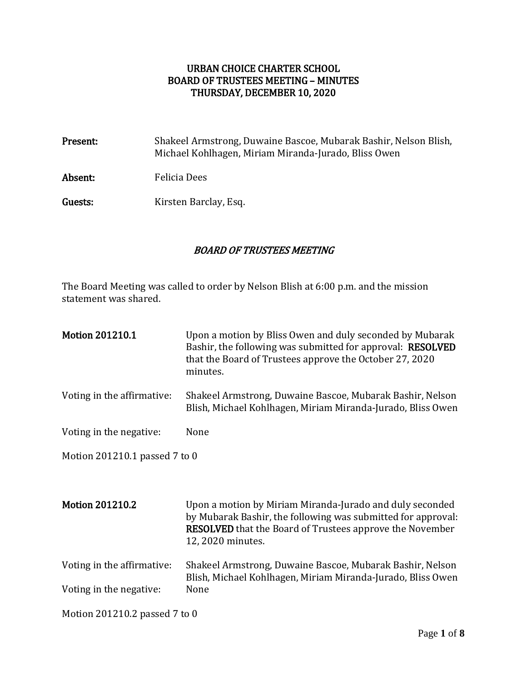## URBAN CHOICE CHARTER SCHOOL BOARD OF TRUSTEES MEETING – MINUTES THURSDAY, DECEMBER 10, 2020

| Present: | Shakeel Armstrong, Duwaine Bascoe, Mubarak Bashir, Nelson Blish,<br>Michael Kohlhagen, Miriam Miranda-Jurado, Bliss Owen |
|----------|--------------------------------------------------------------------------------------------------------------------------|
| Absent:  | <b>Felicia Dees</b>                                                                                                      |
| Guests:  | Kirsten Barclay, Esq.                                                                                                    |

### BOARD OF TRUSTEES MEETING

The Board Meeting was called to order by Nelson Blish at 6:00 p.m. and the mission statement was shared.

| <b>Motion 201210.1</b>        | Upon a motion by Bliss Owen and duly seconded by Mubarak<br>Bashir, the following was submitted for approval: RESOLVED<br>that the Board of Trustees approve the October 27, 2020<br>minutes.                    |
|-------------------------------|------------------------------------------------------------------------------------------------------------------------------------------------------------------------------------------------------------------|
| Voting in the affirmative:    | Shakeel Armstrong, Duwaine Bascoe, Mubarak Bashir, Nelson<br>Blish, Michael Kohlhagen, Miriam Miranda-Jurado, Bliss Owen                                                                                         |
| Voting in the negative:       | None                                                                                                                                                                                                             |
| Motion 201210.1 passed 7 to 0 |                                                                                                                                                                                                                  |
|                               |                                                                                                                                                                                                                  |
| <b>Motion 201210.2</b>        | Upon a motion by Miriam Miranda-Jurado and duly seconded<br>by Mubarak Bashir, the following was submitted for approval:<br><b>RESOLVED</b> that the Board of Trustees approve the November<br>12, 2020 minutes. |
| Voting in the affirmative:    | Shakeel Armstrong, Duwaine Bascoe, Mubarak Bashir, Nelson<br>Blish, Michael Kohlhagen, Miriam Miranda-Jurado, Bliss Owen                                                                                         |
| Voting in the negative:       | None                                                                                                                                                                                                             |
| Motion 201210.2 passed 7 to 0 |                                                                                                                                                                                                                  |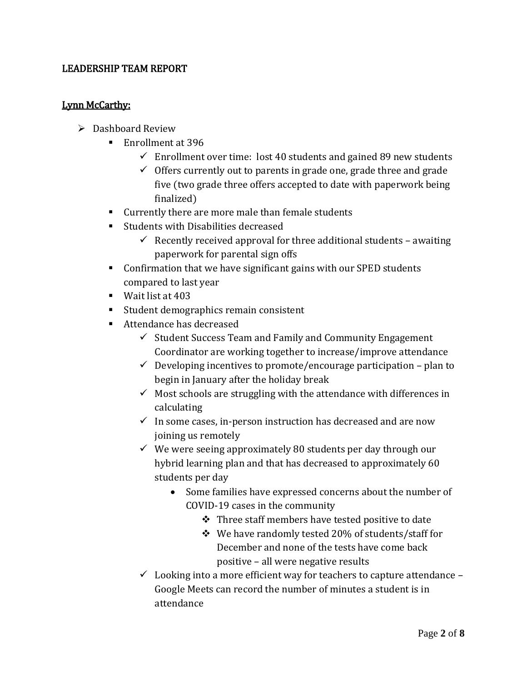## LEADERSHIP TEAM REPORT

### Lynn McCarthy:

- $\triangleright$  Dashboard Review
	- Enrollment at 396
		- $\checkmark$  Enrollment over time: lost 40 students and gained 89 new students
		- $\checkmark$  Offers currently out to parents in grade one, grade three and grade five (two grade three offers accepted to date with paperwork being finalized)
	- Currently there are more male than female students
	- Students with Disabilities decreased
		- $\checkmark$  Recently received approval for three additional students awaiting paperwork for parental sign offs
	- Confirmation that we have significant gains with our SPED students compared to last year
	- Wait list at 403
	- Student demographics remain consistent
	- Attendance has decreased
		- $\checkmark$  Student Success Team and Family and Community Engagement Coordinator are working together to increase/improve attendance
		- $\checkmark$  Developing incentives to promote/encourage participation plan to begin in January after the holiday break
		- $\checkmark$  Most schools are struggling with the attendance with differences in calculating
		- $\checkmark$  In some cases, in-person instruction has decreased and are now joining us remotely
		- $\checkmark$  We were seeing approximately 80 students per day through our hybrid learning plan and that has decreased to approximately 60 students per day
			- Some families have expressed concerns about the number of COVID-19 cases in the community
				- $\div$  Three staff members have tested positive to date
				- $\div$  We have randomly tested 20% of students/staff for December and none of the tests have come back positive – all were negative results
		- $\checkmark$  Looking into a more efficient way for teachers to capture attendance Google Meets can record the number of minutes a student is in attendance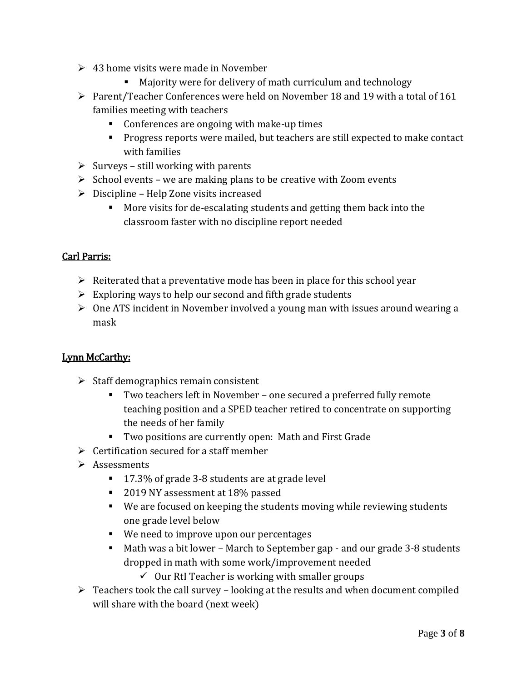- $\geq 43$  home visits were made in November
	- Majority were for delivery of math curriculum and technology
- Parent/Teacher Conferences were held on November 18 and 19 with a total of 161 families meeting with teachers
	- Conferences are ongoing with make-up times
	- **Progress reports were mailed, but teachers are still expected to make contact** with families
- $\triangleright$  Surveys still working with parents
- $\triangleright$  School events we are making plans to be creative with Zoom events
- $\triangleright$  Discipline Help Zone visits increased
	- More visits for de-escalating students and getting them back into the classroom faster with no discipline report needed

### Carl Parris:

- $\triangleright$  Reiterated that a preventative mode has been in place for this school year
- $\triangleright$  Exploring ways to help our second and fifth grade students
- $\triangleright$  One ATS incident in November involved a young man with issues around wearing a mask

### Lynn McCarthy:

- $\triangleright$  Staff demographics remain consistent
	- Two teachers left in November one secured a preferred fully remote teaching position and a SPED teacher retired to concentrate on supporting the needs of her family
	- Two positions are currently open: Math and First Grade
- $\triangleright$  Certification secured for a staff member
- $\triangleright$  Assessments
	- 17.3% of grade 3-8 students are at grade level
	- 2019 NY assessment at 18% passed
	- We are focused on keeping the students moving while reviewing students one grade level below
	- We need to improve upon our percentages
	- Math was a bit lower March to September gap and our grade 3-8 students dropped in math with some work/improvement needed
		- $\checkmark$  Our RtI Teacher is working with smaller groups
- $\triangleright$  Teachers took the call survey looking at the results and when document compiled will share with the board (next week)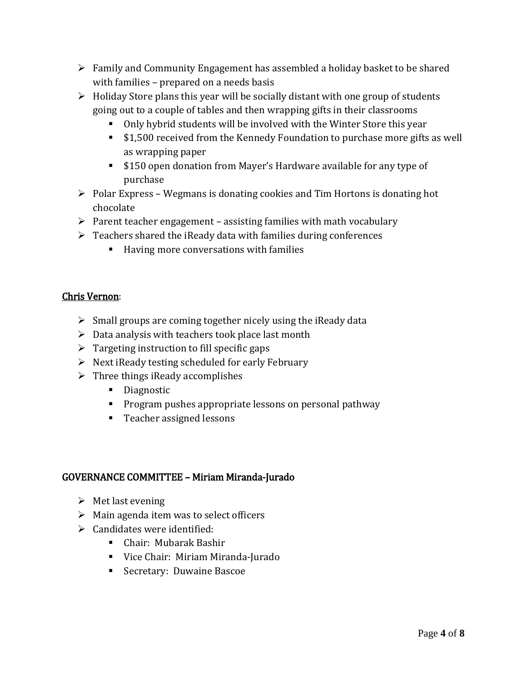- $\triangleright$  Family and Community Engagement has assembled a holiday basket to be shared with families – prepared on a needs basis
- $\triangleright$  Holiday Store plans this year will be socially distant with one group of students going out to a couple of tables and then wrapping gifts in their classrooms
	- Only hybrid students will be involved with the Winter Store this year
	- **S1,500** received from the Kennedy Foundation to purchase more gifts as well as wrapping paper
	- **Simph** S150 open donation from Mayer's Hardware available for any type of purchase
- $\triangleright$  Polar Express Wegmans is donating cookies and Tim Hortons is donating hot chocolate
- $\triangleright$  Parent teacher engagement assisting families with math vocabulary
- $\triangleright$  Teachers shared the iReady data with families during conferences
	- Having more conversations with families

## Chris Vernon:

- $\triangleright$  Small groups are coming together nicely using the iReady data
- $\triangleright$  Data analysis with teachers took place last month
- $\triangleright$  Targeting instruction to fill specific gaps
- $\triangleright$  Next iReady testing scheduled for early February
- $\triangleright$  Three things iReady accomplishes
	- **Diagnostic**
	- **Program pushes appropriate lessons on personal pathway**
	- Teacher assigned lessons

### GOVERNANCE COMMITTEE – Miriam Miranda-Jurado

- $\triangleright$  Met last evening
- $\triangleright$  Main agenda item was to select officers
- $\triangleright$  Candidates were identified:
	- Chair: Mubarak Bashir
	- Vice Chair: Miriam Miranda-Jurado
	- **Secretary: Duwaine Bascoe**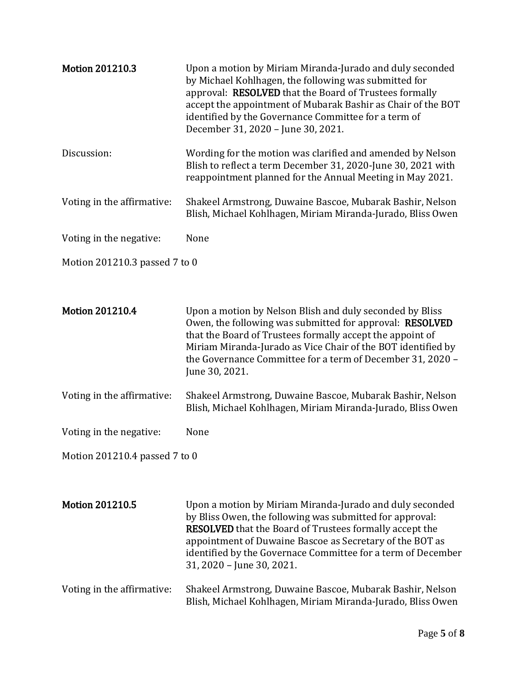| <b>Motion 201210.3</b>        | Upon a motion by Miriam Miranda-Jurado and duly seconded<br>by Michael Kohlhagen, the following was submitted for<br>approval: RESOLVED that the Board of Trustees formally<br>accept the appointment of Mubarak Bashir as Chair of the BOT<br>identified by the Governance Committee for a term of<br>December 31, 2020 - June 30, 2021.       |  |  |
|-------------------------------|-------------------------------------------------------------------------------------------------------------------------------------------------------------------------------------------------------------------------------------------------------------------------------------------------------------------------------------------------|--|--|
| Discussion:                   | Wording for the motion was clarified and amended by Nelson<br>Blish to reflect a term December 31, 2020-June 30, 2021 with<br>reappointment planned for the Annual Meeting in May 2021.                                                                                                                                                         |  |  |
| Voting in the affirmative:    | Shakeel Armstrong, Duwaine Bascoe, Mubarak Bashir, Nelson<br>Blish, Michael Kohlhagen, Miriam Miranda-Jurado, Bliss Owen                                                                                                                                                                                                                        |  |  |
| Voting in the negative:       | None                                                                                                                                                                                                                                                                                                                                            |  |  |
| Motion 201210.3 passed 7 to 0 |                                                                                                                                                                                                                                                                                                                                                 |  |  |
| <b>Motion 201210.4</b>        | Upon a motion by Nelson Blish and duly seconded by Bliss<br>Owen, the following was submitted for approval: RESOLVED<br>that the Board of Trustees formally accept the appoint of<br>Miriam Miranda-Jurado as Vice Chair of the BOT identified by<br>the Governance Committee for a term of December 31, 2020 -<br>June 30, 2021.               |  |  |
| Voting in the affirmative:    | Shakeel Armstrong, Duwaine Bascoe, Mubarak Bashir, Nelson<br>Blish, Michael Kohlhagen, Miriam Miranda-Jurado, Bliss Owen                                                                                                                                                                                                                        |  |  |
| Voting in the negative:       | None                                                                                                                                                                                                                                                                                                                                            |  |  |
| Motion 201210.4 passed 7 to 0 |                                                                                                                                                                                                                                                                                                                                                 |  |  |
|                               |                                                                                                                                                                                                                                                                                                                                                 |  |  |
| <b>Motion 201210.5</b>        | Upon a motion by Miriam Miranda-Jurado and duly seconded<br>by Bliss Owen, the following was submitted for approval:<br><b>RESOLVED</b> that the Board of Trustees formally accept the<br>appointment of Duwaine Bascoe as Secretary of the BOT as<br>identified by the Governace Committee for a term of December<br>31, 2020 - June 30, 2021. |  |  |
| Voting in the affirmative:    | Shakeel Armstrong, Duwaine Bascoe, Mubarak Bashir, Nelson<br>Blish, Michael Kohlhagen, Miriam Miranda-Jurado, Bliss Owen                                                                                                                                                                                                                        |  |  |
|                               |                                                                                                                                                                                                                                                                                                                                                 |  |  |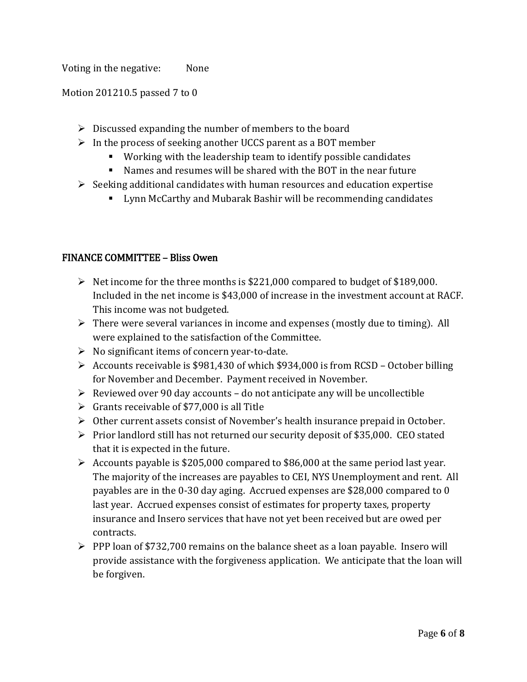Voting in the negative: None

Motion 201210.5 passed 7 to 0

- $\triangleright$  Discussed expanding the number of members to the board
- $\triangleright$  In the process of seeking another UCCS parent as a BOT member
	- Working with the leadership team to identify possible candidates
	- Names and resumes will be shared with the BOT in the near future
- $\triangleright$  Seeking additional candidates with human resources and education expertise
	- **EXECUTE:** Lynn McCarthy and Mubarak Bashir will be recommending candidates

### FINANCE COMMITTEE – Bliss Owen

- $\triangleright$  Net income for the three months is \$221,000 compared to budget of \$189,000. Included in the net income is \$43,000 of increase in the investment account at RACF. This income was not budgeted.
- $\triangleright$  There were several variances in income and expenses (mostly due to timing). All were explained to the satisfaction of the Committee.
- $\triangleright$  No significant items of concern year-to-date.
- $\triangleright$  Accounts receivable is \$981,430 of which \$934,000 is from RCSD October billing for November and December. Payment received in November.
- $\triangleright$  Reviewed over 90 day accounts do not anticipate any will be uncollectible
- $\triangleright$  Grants receivable of \$77,000 is all Title
- $\triangleright$  Other current assets consist of November's health insurance prepaid in October.
- $\triangleright$  Prior landlord still has not returned our security deposit of \$35,000. CEO stated that it is expected in the future.
- $\triangleright$  Accounts payable is \$205,000 compared to \$86,000 at the same period last year. The majority of the increases are payables to CEI, NYS Unemployment and rent. All payables are in the 0-30 day aging. Accrued expenses are \$28,000 compared to 0 last year. Accrued expenses consist of estimates for property taxes, property insurance and Insero services that have not yet been received but are owed per contracts.
- $\triangleright$  PPP loan of \$732,700 remains on the balance sheet as a loan payable. Insero will provide assistance with the forgiveness application. We anticipate that the loan will be forgiven.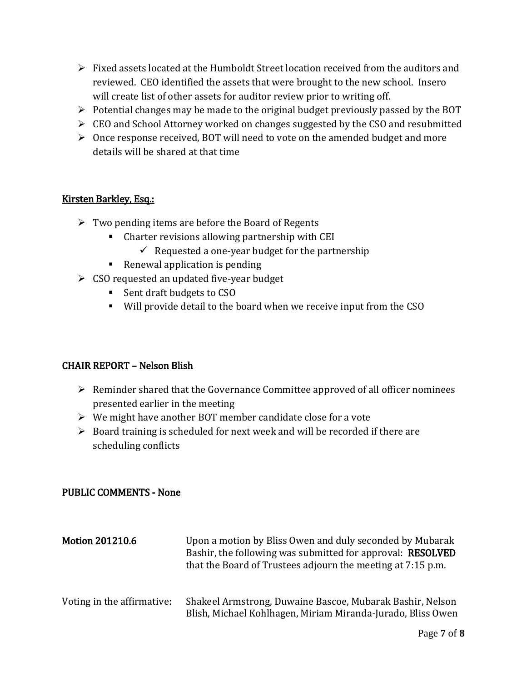- $\triangleright$  Fixed assets located at the Humboldt Street location received from the auditors and reviewed. CEO identified the assets that were brought to the new school. Insero will create list of other assets for auditor review prior to writing off.
- $\triangleright$  Potential changes may be made to the original budget previously passed by the BOT
- EQ and School Attorney worked on changes suggested by the CSO and resubmitted
- $\triangleright$  Once response received, BOT will need to vote on the amended budget and more details will be shared at that time

## Kirsten Barkley, Esq.:

- $\triangleright$  Two pending items are before the Board of Regents
	- Charter revisions allowing partnership with CEI
		- $\checkmark$  Requested a one-year budget for the partnership
	- Renewal application is pending
- $\triangleright$  CSO requested an updated five-year budget
	- Sent draft budgets to CSO
	- Will provide detail to the board when we receive input from the CSO

# CHAIR REPORT – Nelson Blish

- $\triangleright$  Reminder shared that the Governance Committee approved of all officer nominees presented earlier in the meeting
- $\triangleright$  We might have another BOT member candidate close for a vote
- $\triangleright$  Board training is scheduled for next week and will be recorded if there are scheduling conflicts

### PUBLIC COMMENTS - None

| <b>Motion 201210.6</b>     | Upon a motion by Bliss Owen and duly seconded by Mubarak<br>Bashir, the following was submitted for approval: RESOLVED<br>that the Board of Trustees adjourn the meeting at 7:15 p.m. |
|----------------------------|---------------------------------------------------------------------------------------------------------------------------------------------------------------------------------------|
| Voting in the affirmative: | Shakeel Armstrong, Duwaine Bascoe, Mubarak Bashir, Nelson<br>Blish, Michael Kohlhagen, Miriam Miranda-Jurado, Bliss Owen                                                              |